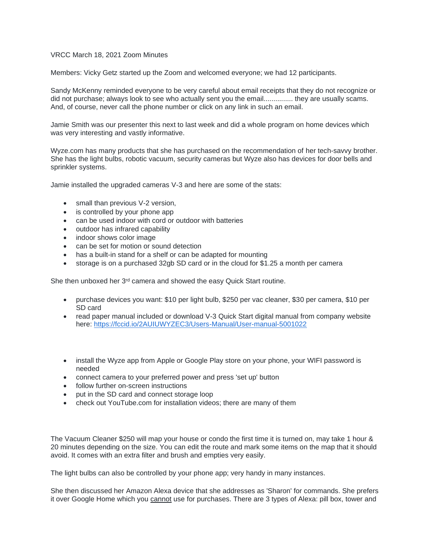## VRCC March 18, 2021 Zoom Minutes

Members: Vicky Getz started up the Zoom and welcomed everyone; we had 12 participants.

Sandy McKenny reminded everyone to be very careful about email receipts that they do not recognize or did not purchase; always look to see who actually sent you the email............... they are usually scams. And, of course, never call the phone number or click on any link in such an email.

Jamie Smith was our presenter this next to last week and did a whole program on home devices which was very interesting and vastly informative.

Wyze.com has many products that she has purchased on the recommendation of her tech-savvy brother. She has the light bulbs, robotic vacuum, security cameras but Wyze also has devices for door bells and sprinkler systems.

Jamie installed the upgraded cameras V-3 and here are some of the stats:

- small than previous V-2 version,
- is controlled by your phone app
- can be used indoor with cord or outdoor with batteries
- outdoor has infrared capability
- indoor shows color image
- can be set for motion or sound detection
- has a built-in stand for a shelf or can be adapted for mounting
- storage is on a purchased 32gb SD card or in the cloud for \$1.25 a month per camera

She then unboxed her 3<sup>rd</sup> camera and showed the easy Quick Start routine.

- purchase devices you want: \$10 per light bulb, \$250 per vac cleaner, \$30 per camera, \$10 per SD card
- read paper manual included or download V-3 Quick Start digital manual from company website here: <https://fccid.io/2AUIUWYZEC3/Users-Manual/User-manual-5001022>
- install the Wyze app from Apple or Google Play store on your phone, your WIFI password is needed
- connect camera to your preferred power and press 'set up' button
- follow further on-screen instructions
- put in the SD card and connect storage loop
- check out YouTube.com for installation videos; there are many of them

The Vacuum Cleaner \$250 will map your house or condo the first time it is turned on, may take 1 hour & 20 minutes depending on the size. You can edit the route and mark some items on the map that it should avoid. It comes with an extra filter and brush and empties very easily.

The light bulbs can also be controlled by your phone app; very handy in many instances.

She then discussed her Amazon Alexa device that she addresses as 'Sharon' for commands. She prefers it over Google Home which you cannot use for purchases. There are 3 types of Alexa: pill box, tower and